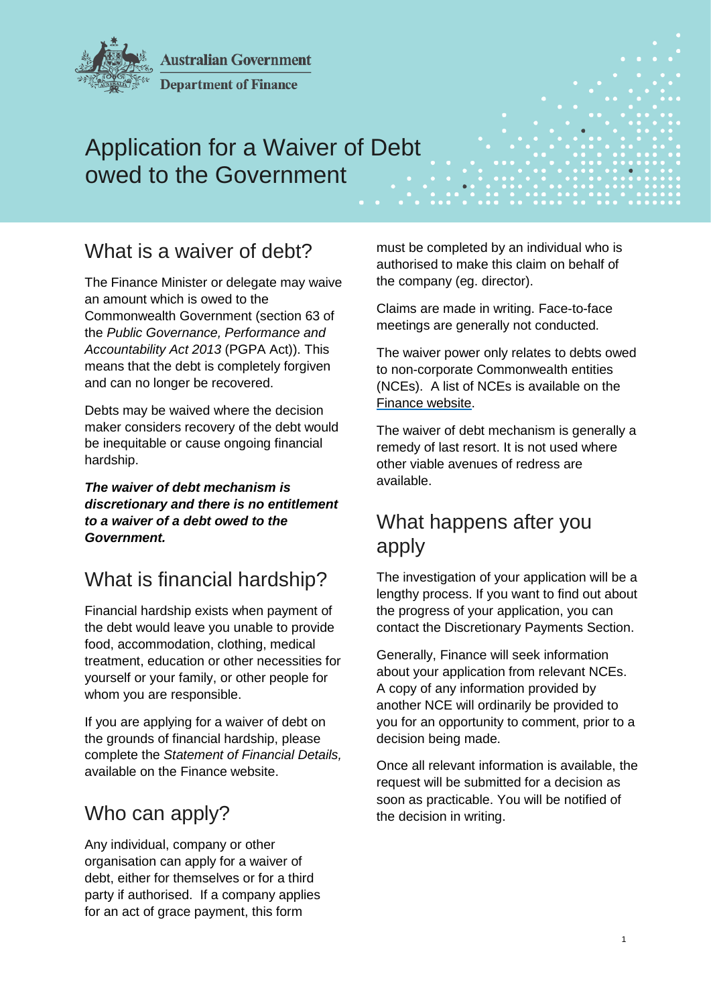

**Australian Government** 

**Department of Finance** 

# Application for a Waiver of Debt owed to the Government

## What is a waiver of debt?

The Finance Minister or delegate may waive an amount which is owed to the Commonwealth Government (section 63 of the *Public Governance, Performance and Accountability Act 2013* (PGPA Act)). This means that the debt is completely forgiven and can no longer be recovered.

Debts may be waived where the decision maker considers recovery of the debt would be inequitable or cause ongoing financial hardship.

*The waiver of debt mechanism is discretionary and there is no entitlement to a waiver of a debt owed to the Government.* 

## What is financial hardship?

Financial hardship exists when payment of the debt would leave you unable to provide food, accommodation, clothing, medical treatment, education or other necessities for yourself or your family, or other people for whom you are responsible.

If you are applying for a waiver of debt on the grounds of financial hardship, please complete the *Statement of Financial Details,*  available on the Finance website.

## Who can apply?

Any individual, company or other organisation can apply for a waiver of debt, either for themselves or for a third party if authorised. If a company applies for an act of grace payment, this form

must be completed by an individual who is authorised to make this claim on behalf of the company (eg. director).

Claims are made in writing. Face-to-face meetings are generally not conducted.

The waiver power only relates to debts owed to non-corporate Commonwealth entities (NCEs). A list of NCEs is available on the [Finance website.](https://www.finance.gov.au/government/managing-commonwealth-resources/structure-australian-government-public-sector/pgpa-act-flipchart-list)

The waiver of debt mechanism is generally a remedy of last resort. It is not used where other viable avenues of redress are available.

## What happens after you apply

The investigation of your application will be a lengthy process. If you want to find out about the progress of your application, you can contact the Discretionary Payments Section.

Generally, Finance will seek information about your application from relevant NCEs. A copy of any information provided by another NCE will ordinarily be provided to you for an opportunity to comment, prior to a decision being made.

Once all relevant information is available, the request will be submitted for a decision as soon as practicable. You will be notified of the decision in writing.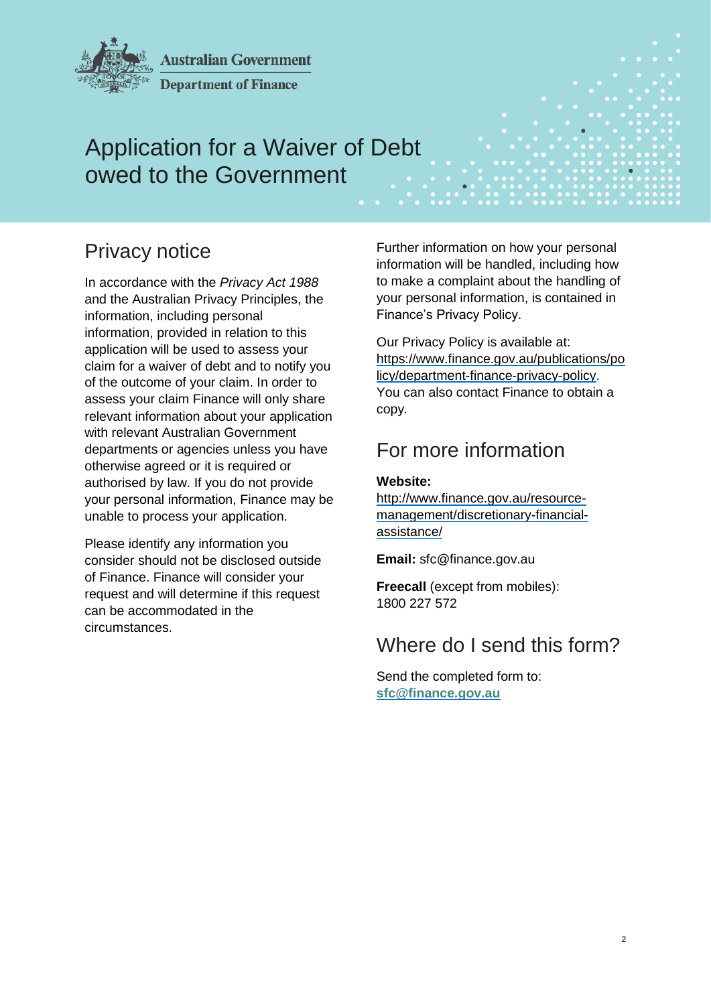

**Australian Government** 

**Department of Finance** 

# Application for a Waiver of Debt owed to the Government

# Privacy notice

In accordance with the *Privacy Act 1988* and the Australian Privacy Principles, the information, including personal information, provided in relation to this application will be used to assess your claim for a waiver of debt and to notify you of the outcome of your claim. In order to assess your claim Finance will only share relevant information about your application with relevant Australian Government departments or agencies unless you have otherwise agreed or it is required or authorised by law. If you do not provide your personal information, Finance may be unable to process your application.

Please identify any information you consider should not be disclosed outside of Finance. Finance will consider your request and will determine if this request can be accommodated in the circumstances.

Further information on how your personal information will be handled, including how to make a complaint about the handling of your personal information, is contained in Finance's Privacy Policy.

Our Privacy Policy is available at: [https://www.finance.gov.au/publications/po](https://www.finance.gov.au/publications/policy/department-finance-privacy-policy) [licy/department-finance-privacy-policy.](https://www.finance.gov.au/publications/policy/department-finance-privacy-policy) You can also contact Finance to obtain a copy*.*

## For more information

### **Website:**

[http://www.finance.gov.au/resource](http://www.finance.gov.au/resource-management/discretionary-financial-assistance/)[management/discretionary-financial](http://www.finance.gov.au/resource-management/discretionary-financial-assistance/)[assistance/](http://www.finance.gov.au/resource-management/discretionary-financial-assistance/)

**Email:** sfc@finance.gov.au

**Freecall** (except from mobiles): 1800 227 572

## Where do I send this form?

Send the completed form to: **[sfc@finance.gov.au](mailto:sfc@finance.gov.au)**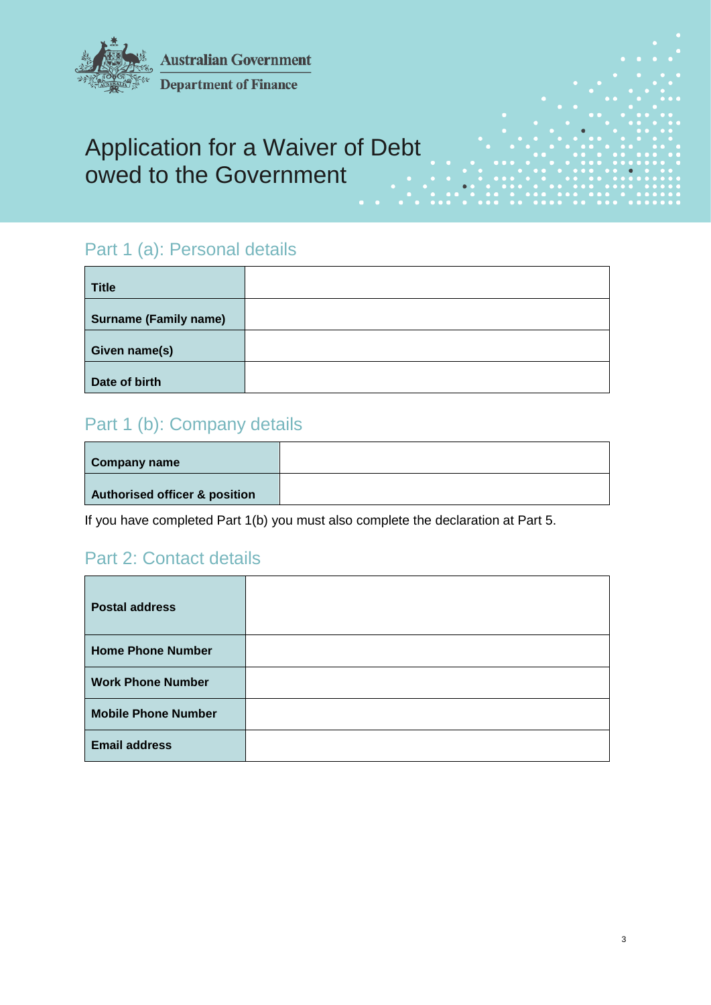

**Department of Finance** 

# Application for a Waiver of Debt owed to the Government

## Part 1 (a): Personal details

| <b>Title</b>                 |  |
|------------------------------|--|
| <b>Surname (Family name)</b> |  |
| Given name(s)                |  |
| Date of birth                |  |

### Part 1 (b): Company details

| <b>Company name</b>           |  |
|-------------------------------|--|
| Authorised officer & position |  |

If you have completed Part 1(b) you must also complete the declaration at Part 5.

### Part 2: Contact details

| <b>Postal address</b>      |  |
|----------------------------|--|
| <b>Home Phone Number</b>   |  |
| <b>Work Phone Number</b>   |  |
| <b>Mobile Phone Number</b> |  |
| <b>Email address</b>       |  |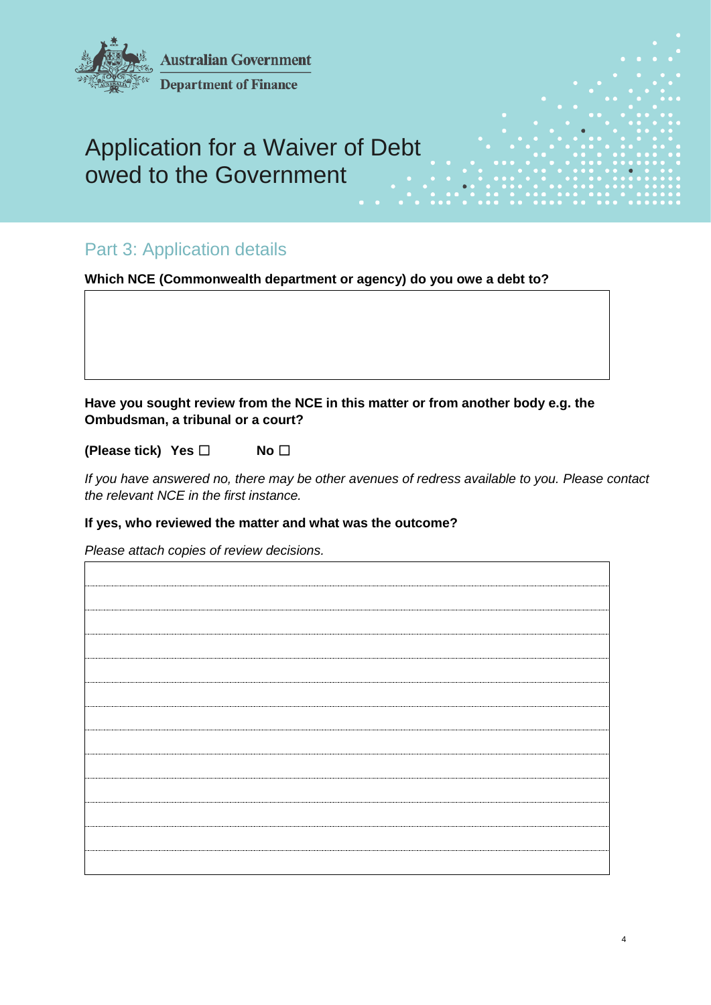

### Part 3: Application details

**Which NCE (Commonwealth department or agency) do you owe a debt to?**

**Have you sought review from the NCE in this matter or from another body e.g. the Ombudsman, a tribunal or a court?**

**(Please tick) Yes** ☐ **No** ☐

*If you have answered no, there may be other avenues of redress available to you. Please contact the relevant NCE in the first instance.*

#### **If yes, who reviewed the matter and what was the outcome?**

*Please attach copies of review decisions.*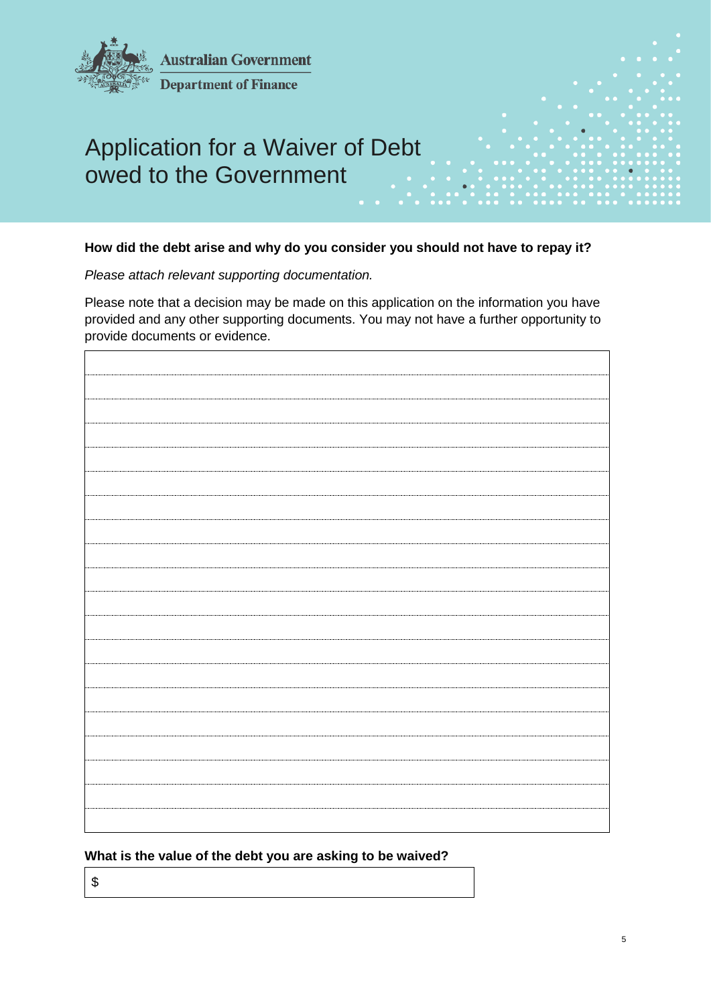

#### **How did the debt arise and why do you consider you should not have to repay it?**

*Please attach relevant supporting documentation.*

Please note that a decision may be made on this application on the information you have provided and any other supporting documents. You may not have a further opportunity to provide documents or evidence.

### **What is the value of the debt you are asking to be waived?**

\$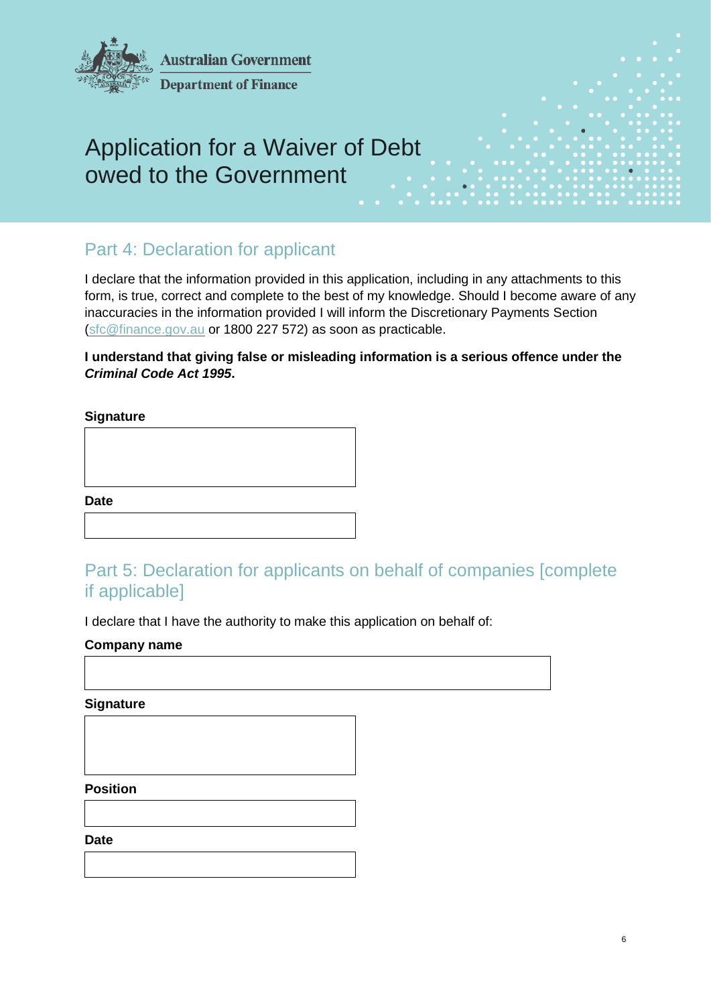

### Part 4: Declaration for applicant

I declare that the information provided in this application, including in any attachments to this form, is true, correct and complete to the best of my knowledge. Should I become aware of any inaccuracies in the information provided I will inform the Discretionary Payments Section [\(sfc@finance.gov.au](mailto:sfc@finance.gov.au) or 1800 227 572) as soon as practicable.

### **I understand that giving false or misleading information is a serious offence under the**  *Criminal Code Act 1995***.**

### **Signature**

**Date**

## Part 5: Declaration for applicants on behalf of companies [complete if applicable]

I declare that I have the authority to make this application on behalf of:

### **Company name**

**Signature**

**Position**

**Date**